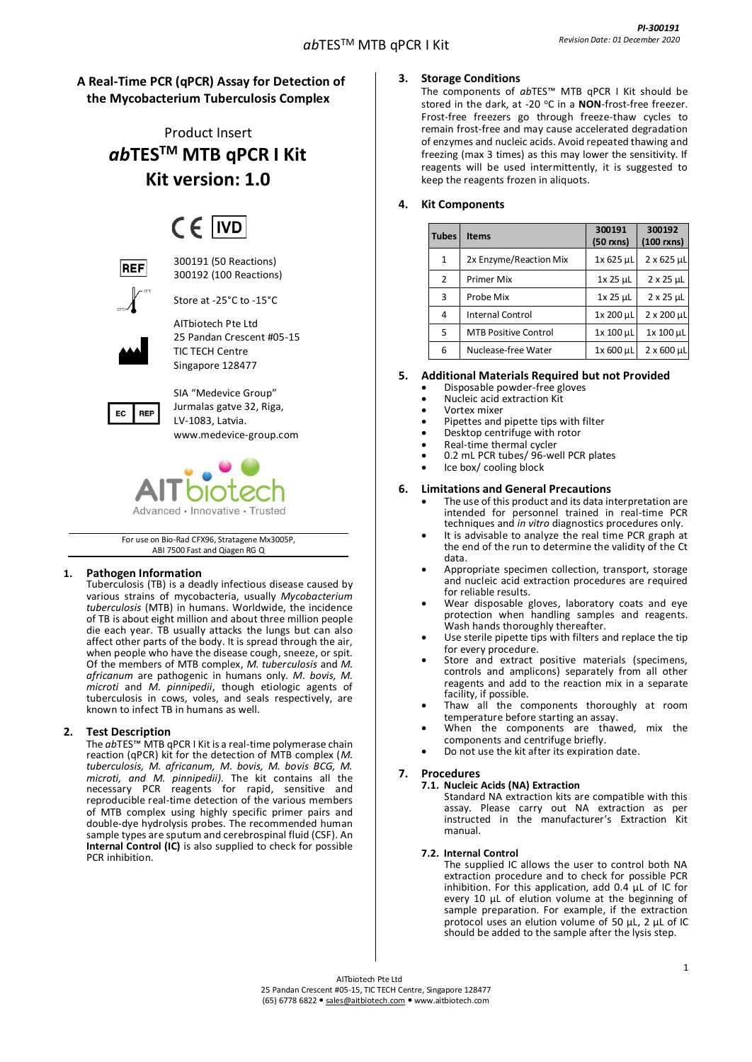# **A Real-Time PCR (qPCR) Assay for Detection of the Mycobacterium Tuberculosis Complex**

Product Insert *ab***TESTM MTB qPCR I Kit Kit version: 1.0**

# $CF$  IVD



300191 (50 Reactions) 300192 (100 Reactions)

Store at -25°C to -15°C



AITbiotech Pte Ltd 25 Pandan Crescent #05-15 TIC TECH Centre Singapore 128477



SIA "Medevice Group" Jurmalas gatve 32, Riga, LV-1083, Latvia. [www.medevice-group.com](http://www.medevice-group.com/)



For use on Bio-Rad CFX96, Stratagene Mx3005P, ABI 7500 Fast and Qiagen RG Q

# **1. Pathogen Information**

Tuberculosis (TB) is a deadly [infectious disease](http://en.wikipedia.org/wiki/Infectious_disease) caused by various strains of [mycobacteria,](http://en.wikipedia.org/wiki/Mycobacterium) usually *[Mycobacterium](http://en.wikipedia.org/wiki/Mycobacterium_tuberculosis)  [tuberculosis](http://en.wikipedia.org/wiki/Mycobacterium_tuberculosis)* (MTB) in humans. Worldwide, the incidence of TB is about eight million and about three million people die each year. TB usually attacks the [lungs](http://en.wikipedia.org/wiki/Lung) but can also affect other parts of the body. It is spread through the air, when people who have the disease cough, sneeze, or spit. Of the members of MTB complex, *M. tuberculosis* and *M. africanum* are pathogenic in humans only. *M. bovis, M. microti* and *M. pinnipedii*, though etiologic agents of tuberculosis in cows, voles, and seals respectively, are known to infect TB in humans as well.

# **2. Test Description**

The *ab*TES™ MTB qPCR I Kit is a real-time polymerase chain reaction (qPCR) kit for the detection of MTB complex (*M. tuberculosis, M. africanum, M. bovis, M. bovis BCG, M. microti, and M. pinnipedii).* The kit contains all the necessary PCR reagents for rapid, sensitive and reproducible real-time detection of the various members of MTB complex using highly specific primer pairs and double-dye hydrolysis probes. The recommended human sample types are sputum and cerebrospinal fluid (CSF). An **Internal Control (IC)** is also supplied to check for possible PCR inhibition.

# **3. Storage Conditions**

The components of *ab*TES™ MTB qPCR I Kit should be stored in the dark, at -20 °C in a **NON**-frost-free freezer. Frost-free freezers go through freeze-thaw cycles to remain frost-free and may cause accelerated degradation of enzymes and nucleic acids. Avoid repeated thawing and freezing (max 3 times) as this may lower the sensitivity. If reagents will be used intermittently, it is suggested to keep the reagents frozen in aliquots.

# **4. Kit Components**

| <b>Tubes</b>  | <b>Items</b>                | 300191<br>$(50 \text{ r} \times \text{m})$ | 300192<br>$(100$ rxns) |
|---------------|-----------------------------|--------------------------------------------|------------------------|
| $\mathbf{1}$  | 2x Enzyme/Reaction Mix      | 1x 625 µL                                  | $2 \times 625$ µL      |
| $\mathcal{P}$ | <b>Primer Mix</b>           | $1x$ 25 $\mu$ L                            | $2 \times 25$ µL       |
| 3             | Probe Mix                   | $1x$ 25 $\mu$ L                            | $2 \times 25$ µL       |
| 4             | <b>Internal Control</b>     | 1x 200 µL                                  | 2 x 200 µL             |
| 5             | <b>MTB Positive Control</b> | 1x 100 µL                                  | 1x 100 µL              |
| 6             | Nuclease-free Water         | 1x 600 µL                                  | $2 \times 600$ µL      |

# **5. Additional Materials Required but not Provided**

- Disposable powder-free gloves
- Nucleic acid extraction Kit
- Vortex mixer • Pipettes and pipette tips with filter
- Desktop centrifuge with rotor
- Real-time thermal cycler
- 0.2 mL PCR tubes/ 96-well PCR plates
- Ice box/ cooling block

# **6. Limitations and General Precautions**

- The use of this product and its data interpretation are intended for personnel trained in real-time PCR techniques and *in vitro* diagnostics procedures only.
- It is advisable to analyze the real time PCR graph at the end of the run to determine the validity of the Ct data.
- Appropriate specimen collection, transport, storage and nucleic acid extraction procedures are required for reliable results.
- Wear disposable gloves, laboratory coats and eye protection when handling samples and reagents. Wash hands thoroughly thereafter.
- Use sterile pipette tips with filters and replace the tip for every procedure.
- Store and extract positive materials (specimens, controls and amplicons) separately from all other reagents and add to the reaction mix in a separate facility, if possible.
- Thaw all the components thoroughly at room temperature before starting an assay.
- When the components are thawed, mix the components and centrifuge briefly.
- Do not use the kit after its expiration date.

# **7. Procedures**

**7.1. Nucleic Acids (NA) Extraction** Standard NA extraction kits are compatible with this assay. Please carry out NA extraction as per instructed in the manufacturer's Extraction Kit manual.

## **7.2. Internal Control**

The supplied IC allows the user to control both NA extraction procedure and to check for possible PCR inhibition. For this application, add 0.4 µL of IC for every 10 µL of elution volume at the beginning of sample preparation. For example, if the extraction protocol uses an elution volume of 50 µL, 2 µL of IC should be added to the sample after the lysis step.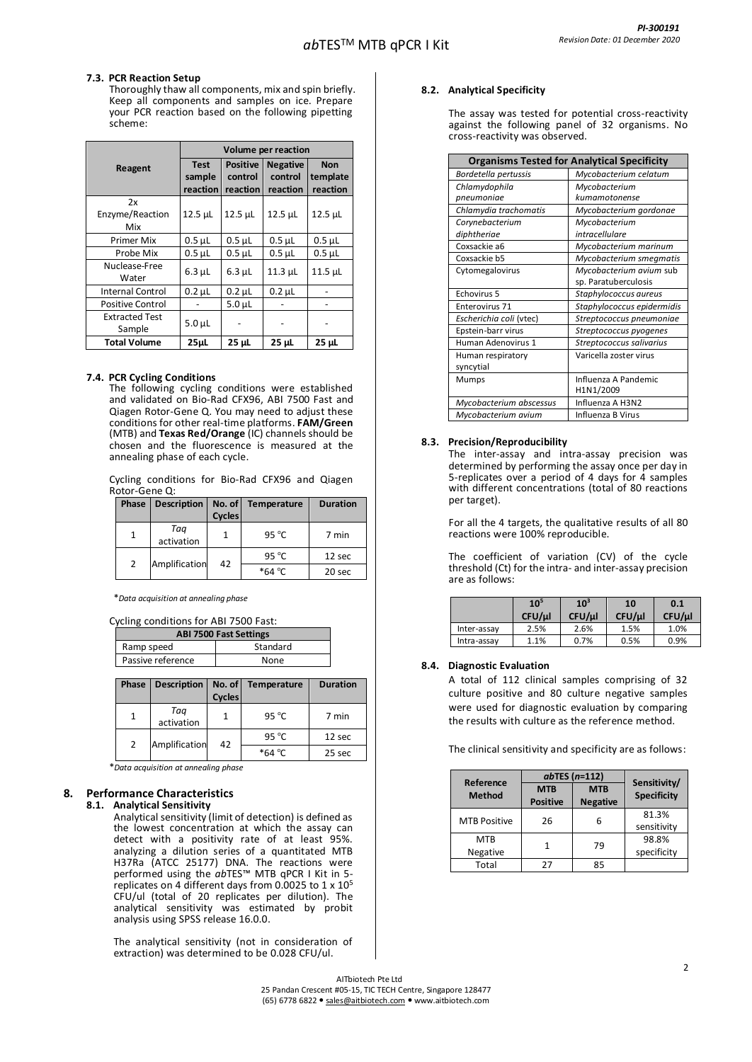## **7.3. PCR Reaction Setup**

Thoroughly thaw all components, mix and spin briefly. Keep all components and samples on ice. Prepare your PCR reaction based on the following pipetting scheme:

|                                 | Volume per reaction               |                                        |                                        |                                    |
|---------------------------------|-----------------------------------|----------------------------------------|----------------------------------------|------------------------------------|
| Reagent                         | <b>Test</b><br>sample<br>reaction | <b>Positive</b><br>control<br>reaction | <b>Negative</b><br>control<br>reaction | <b>Non</b><br>template<br>reaction |
| 2x<br>Enzyme/Reaction<br>Mix    | 12.5 µL                           | 12.5 µL                                | $12.5$ $\mu$ L                         | 12.5 µL                            |
| Primer Mix                      | $0.5$ $\mu$ L                     | $0.5$ $\mu$ L                          | $0.5$ $\mu$ L                          | $0.5$ $\mu$ L                      |
| Probe Mix                       | $0.5$ $\mu$ L                     | $0.5$ $\mu$ L                          | $0.5$ $\mu$ L                          | $0.5$ $\mu$ L                      |
| Nuclease-Free<br>Water          | $6.3 \mu L$                       | $6.3 \mu L$                            | $11.3$ µL                              | 11.5 µL                            |
| <b>Internal Control</b>         | $0.2$ $\mu$ L                     | $0.2$ $\mu$ L                          | $0.2$ $\mu$ L                          |                                    |
| <b>Positive Control</b>         |                                   | $5.0µ$ L                               |                                        |                                    |
| <b>Extracted Test</b><br>Sample | $5.0 \mu L$                       |                                        |                                        |                                    |
| <b>Total Volume</b>             | 25 <sub>µ</sub>                   | 25 µL                                  | 25 µL                                  | 25 µL                              |

## **7.4. PCR Cycling Conditions**

The following cycling conditions were established and validated on Bio-Rad CFX96, ABI 7500 Fast and Qiagen Rotor-Gene Q. You may need to adjust these conditions for other real-time platforms. **FAM/Green** (MTB) and **Texas Red/Orange** (IC) channels should be chosen and the fluorescence is measured at the annealing phase of each cycle.

Cycling conditions for Bio-Rad CFX96 and Qiagen Rotor-Gene Q:

| Phase | Description       | <b>Cycles</b> | No. of Temperature | <b>Duration</b> |
|-------|-------------------|---------------|--------------------|-----------------|
|       | Taa<br>activation |               | 95 $^{\circ}$ C    | 7 min           |
| 2     | Amplification     | 42            | 95 $^{\circ}$ C    | 12 sec          |
|       |                   |               | $*64 °C$           | 20 sec          |

\**Data acquisition at annealing phase*

#### Cycling conditions for ABI 7500 Fast:

| <b>ABI 7500 Fast Settings</b> |          |  |
|-------------------------------|----------|--|
| Ramp speed                    | Standard |  |
| Passive reference             | None     |  |
|                               |          |  |

| Phase | Description       | No. of<br><b>Cycles</b> | Temperature     | <b>Duration</b> |
|-------|-------------------|-------------------------|-----------------|-----------------|
|       | Taq<br>activation |                         | 95 $^{\circ}$ C | 7 min           |
| 2     | Amplification     | 42                      | 95 $\degree$ C  | 12 sec          |
|       |                   |                         | $*64 °C$        | 25 sec          |

\**Data acquisition at annealing phase*

# **8. Performance Characteristics**

#### **8.1. Analytical Sensitivity**

Analytical sensitivity (limit of detection) is defined as the lowest concentration at which the assay can detect with a positivity rate of at least 95%. analyzing a dilution series of a quantitated MTB H37Ra (ATCC 25177) DNA. The reactions were performed using the *ab*TES™ MTB qPCR I Kit in 5 replicates on 4 different days from 0.0025 to 1 x 10<sup>5</sup> CFU/ul (total of 20 replicates per dilution). The analytical sensitivity was estimated by probit analysis using SPSS release 16.0.0.

The analytical sensitivity (not in consideration of extraction) was determined to be 0.028 CFU/ul.

## **8.2. Analytical Specificity**

The assay was tested for potential cross-reactivity against the following panel of 32 organisms. No cross-reactivity was observed.

|                         | <b>Organisms Tested for Analytical Specificity</b> |
|-------------------------|----------------------------------------------------|
| Bordetella pertussis    | Mycobacterium celatum                              |
| Chlamydophila           | Mycobacterium                                      |
| pneumoniae              | kumamotonense                                      |
| Chlamydia trachomatis   | Mycobacterium gordonae                             |
| Corynebacterium         | Mycobacterium                                      |
| diphtheriae             | intracellulare                                     |
| Coxsackie a6            | Mycobacterium marinum                              |
| Coxsackie b5            | Mycobacterium smegmatis                            |
| Cytomegalovirus         | Mycobacterium avium sub                            |
|                         | sp. Paratuberculosis                               |
| Echovirus 5             | Staphylococcus aureus                              |
| Enterovirus 71          | Staphylococcus epidermidis                         |
| Escherichia coli (vtec) | Streptococcus pneumoniae                           |
| Epstein-barr virus      | Streptococcus pyogenes                             |
| Human Adenovirus 1      | Streptococcus salivarius                           |
| Human respiratory       | Varicella zoster virus                             |
| syncytial               |                                                    |
| Mumps                   | Influenza A Pandemic                               |
|                         | H1N1/2009                                          |
| Mycobacterium abscessus | Influenza A H3N2                                   |
| Mycobacterium avium     | Influenza B Virus                                  |

#### **8.3. Precision/Reproducibility**

The inter-assay and intra-assay precision was determined by performing the assay once per day in 5-replicates over a period of 4 days for 4 samples with different concentrations (total of 80 reactions per target).

For all the 4 targets, the qualitative results of all 80 reactions were 100% reproducible.

The coefficient of variation (CV) of the cycle threshold (Ct) for the intra- and inter-assay precision are as follows:

|             | $10^{5}$<br>CFU/µl | 10 <sup>3</sup><br>CFU/µl | 10<br>CFU/µl | 0.1<br>CFU/µl |
|-------------|--------------------|---------------------------|--------------|---------------|
| Inter-assay | 2.5%               | 2.6%                      | 1.5%         | 1.0%          |
| Intra-assay | 1.1%               | 0.7%                      | 0.5%         | 0.9%          |

## **8.4. Diagnostic Evaluation**

A total of 112 clinical samples comprising of 32 culture positive and 80 culture negative samples were used for diagnostic evaluation by comparing the results with culture as the reference method.

The clinical sensitivity and specificity are as follows:

| Reference           | $ab$ TES ( $n=112$ )          | Sensitivity/                  |                      |
|---------------------|-------------------------------|-------------------------------|----------------------|
| <b>Method</b>       | <b>MTB</b><br><b>Positive</b> | <b>MTB</b><br><b>Negative</b> | <b>Specificity</b>   |
| <b>MTB Positive</b> | 26                            | 6                             | 81.3%<br>sensitivity |
| MTB<br>Negative     |                               | 79                            | 98.8%<br>specificity |
| Total               | 27                            | 85                            |                      |